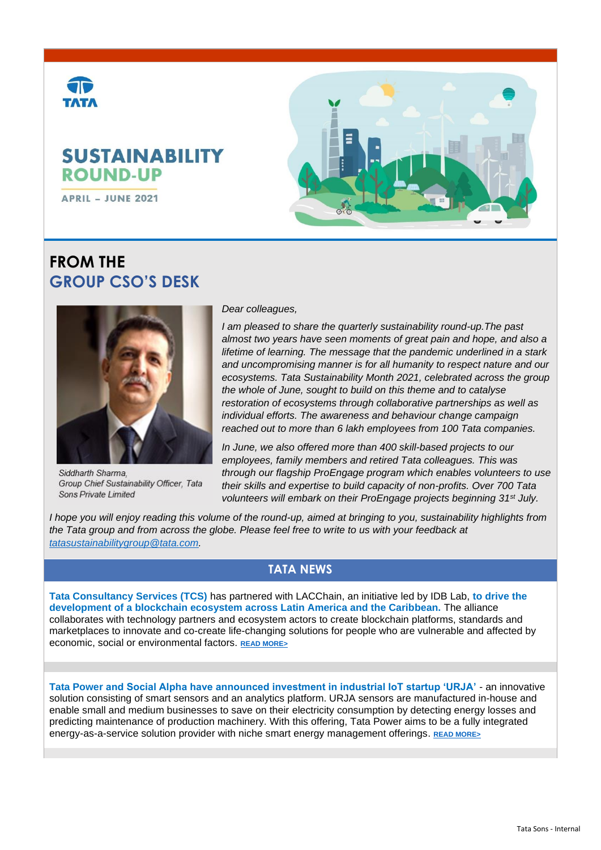

# **FROM THE GROUP CSO'S DESK**



Siddharth Sharma. Group Chief Sustainability Officer, Tata Sons Private Limited

*Dear colleagues,*

*I am pleased to share the quarterly sustainability round-up.The past almost two years have seen moments of great pain and hope, and also a lifetime of learning. The message that the pandemic underlined in a stark and uncompromising manner is for all humanity to respect nature and our ecosystems. Tata Sustainability Month 2021, celebrated across the group the whole of June, sought to build on this theme and to catalyse restoration of ecosystems through collaborative partnerships as well as individual efforts. The awareness and behaviour change campaign reached out to more than 6 lakh employees from 100 Tata companies.* 

*In June, we also offered more than 400 skill-based projects to our employees, family members and retired Tata colleagues. This was through our flagship ProEngage program which enables volunteers to use their skills and expertise to build capacity of non-profits. Over 700 Tata volunteers will embark on their ProEngage projects beginning 31st July.* 

*I hope you will enjoy reading this volume of the round-up, aimed at bringing to you, sustainability highlights from the Tata group and from across the globe. Please feel free to write to us with your feedback at [tatasustainabilitygroup@tata.com.](mailto:tatasustainabilitygroup@tata.com)*

## **TATA NEWS**

**Tata Consultancy Services (TCS)** has partnered with LACChain, an initiative led by IDB Lab, **to drive the development of a blockchain ecosystem across Latin America and the Caribbean.** The alliance collaborates with technology partners and ecosystem actors to create blockchain platforms, standards and marketplaces to innovate and co-create life-changing solutions for people who are vulnerable and affected by economic, social or environmental factors. **[READ MORE>](https://www.tataworld.com/news/openinside/tcs-partners-with-lacchain)**

**Tata Power and Social Alpha have announced investment in industrial IoT startup 'URJA'** - an innovative solution consisting of smart sensors and an analytics platform. URJA sensors are manufactured in-house and enable small and medium businesses to save on their electricity consumption by detecting energy losses and predicting maintenance of production machinery. With this offering, Tata Power aims to be a fully integrated energy-as-a-service solution provider with niche smart energy management offerings. **[READ MORE>](https://www.tataworld.com/news/openinside/tata-power-and-social-alpha-invest-in-urja)**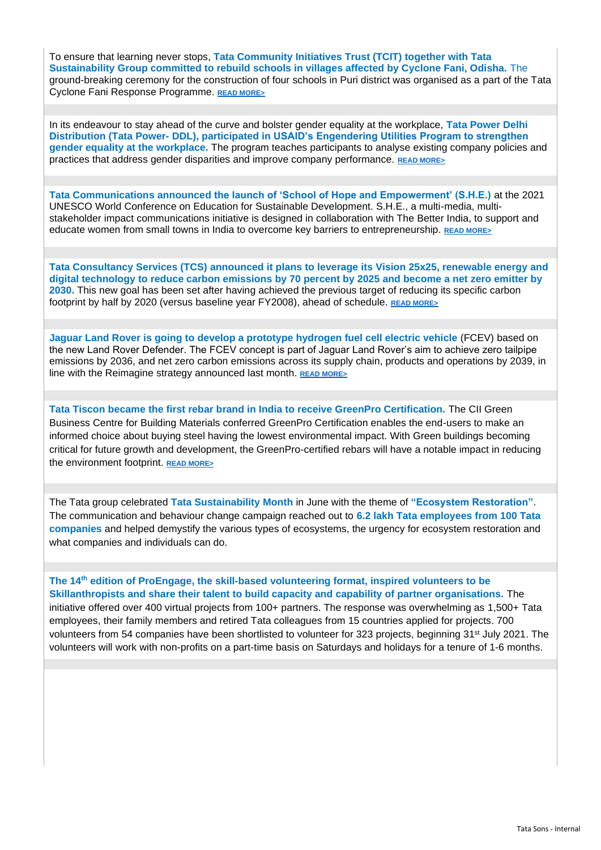To ensure that learning never stops, **Tata Community Initiatives Trust (TCIT) together with Tata Sustainability Group committed to rebuild schools in villages affected by Cyclone Fani, Odisha.** The ground-breaking ceremony for the construction of four schools in Puri district was organised as a part of the Tata Cyclone Fani Response Programme. **[READ MORE>](https://www.tataworld.com/news/openinside/tata-cyclone-fani-response-programme)**

In its endeavour to stay ahead of the curve and bolster gender equality at the workplace, **Tata Power Delhi Distribution (Tata Power- DDL), participated in USAID's Engendering Utilities Program to strengthen gender equality at the workplace.** The program teaches participants to analyse existing company policies and practices that address gender disparities and improve company performance. **[READ MORE>](https://www.tataworld.com/news/openinside/tata-power-ddl-participates-in-usaids-engendering-utilities-program)**

**Tata Communications announced the launch of 'School of Hope and Empowerment' (S.H.E.)** at the 2021 UNESCO World Conference on Education for Sustainable Development. S.H.E., a multi-media, multistakeholder impact communications initiative is designed in collaboration with The Better India, to support and educate women from small towns in India to overcome key barriers to entrepreneurship. **[READ MORE>](https://www.tataworld.com/news/openinside/tata-communications-unveils-project-she)**

**Tata Consultancy Services (TCS) announced it plans to leverage its Vision 25x25, renewable energy and digital technology to reduce carbon emissions by 70 percent by 2025 and become a net zero emitter by 2030.** This new goal has been set after having achieved the previous target of reducing its specific carbon footprint by half by 2020 (versus baseline year FY2008), ahead of schedule. **[READ MORE>](https://www.tataworld.com/news/openinside/tcs-targets-net-zero-emissions-by-2030)**

**Jaguar Land Rover is going to develop a prototype hydrogen fuel cell electric vehicle** (FCEV) based on the new Land Rover Defender. The FCEV concept is part of Jaguar Land Rover's aim to achieve zero tailpipe emissions by 2036, and net zero carbon emissions across its supply chain, products and operations by 2039, in line with the Reimagine strategy announced last month. **[READ MORE>](https://www.tataworld.com/news/openinside/jaguar-land-rover-defender-fuel-cell-prototype)**

**Tata Tiscon became the first rebar brand in India to receive GreenPro Certification.** The CII Green Business Centre for Building Materials conferred GreenPro Certification enables the end-users to make an informed choice about buying steel having the lowest environmental impact. With Green buildings becoming critical for future growth and development, the GreenPro-certified rebars will have a notable impact in reducing the environment footprint. **[READ MORE>](https://www.tataworld.com/news/openinside/tata-tiscon-receives-greenpro-certification)**

The Tata group celebrated **Tata Sustainability Month** in June with the theme of **"Ecosystem Restoration"**. The communication and behaviour change campaign reached out to **6.2 lakh Tata employees from 100 Tata companies** and helped demystify the various types of ecosystems, the urgency for ecosystem restoration and what companies and individuals can do.

#### **The 14th edition of ProEngage, the skill-based volunteering format, inspired volunteers to be Skillanthropists and share their talent to build capacity and capability of partner organisations.** The initiative offered over 400 virtual projects from 100+ partners. The response was overwhelming as 1,500+ Tata

employees, their family members and retired Tata colleagues from 15 countries applied for projects. 700 volunteers from 54 companies have been shortlisted to volunteer for 323 projects, beginning 31<sup>st</sup> July 2021. The volunteers will work with non-profits on a part-time basis on Saturdays and holidays for a tenure of 1-6 months.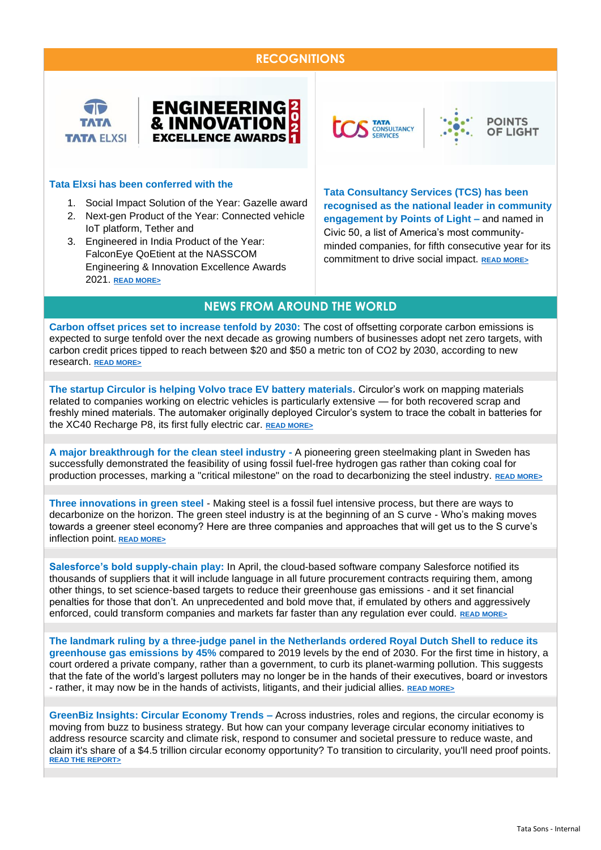#### **RECOGNITIONS**





#### **Tata Elxsi has been conferred with the**

- 1. Social Impact Solution of the Year: Gazelle award
- 2. Next-gen Product of the Year: Connected vehicle IoT platform, Tether and
- 3. Engineered in India Product of the Year: FalconEye QoEtient at the NASSCOM Engineering & Innovation Excellence Awards 2021. **[READ MORE>](https://www.tataworld.com/news/openinside/tata-elxsi-wins-at-the-nasscom-engineering-and-innovation-excellence-awards)**

**TATA**<br>CONSULTANCY





**Tata Consultancy Services (TCS) has been recognised as the national leader in community engagement by Points of Light –** and named in Civic 50, a list of America's most communityminded companies, for fifth consecutive year for its commitment to drive social impact. **[READ MORE>](https://www.tataworld.com/news/openinside/tcs-recognised-by-points-of-light)**

#### **NEWS FROM AROUND THE WORLD**

**Carbon offset prices set to increase tenfold by 2030:** The cost of offsetting corporate carbon emissions is expected to surge tenfold over the next decade as growing numbers of businesses adopt net zero targets, with carbon credit prices tipped to reach between \$20 and \$50 a metric ton of CO2 by 2030, according to new research. **[READ MORE>](https://www.greenbiz.com/article/carbon-offset-prices-set-increase-tenfold-2030)**

**The startup Circulor is helping Volvo trace EV battery materials.** Circulor's work on mapping materials related to companies working on electric vehicles is particularly extensive — for both recovered scrap and freshly mined materials. The automaker originally deployed Circulor's system to trace the cobalt in batteries for the XC40 Recharge P8, its first fully electric car. **[READ MORE>](https://www.greenbiz.com/article/startup-helping-volvo-trace-ev-battery-materials)**

**A major breakthrough for the clean steel industry -** A pioneering green steelmaking plant in Sweden has successfully demonstrated the feasibility of using fossil fuel-free hydrogen gas rather than coking coal for production processes, marking a "critical milestone" on the road to decarbonizing the steel industry. **[READ MORE>](https://www.greenbiz.com/article/major-breakthrough-clean-steel-industry)**

**Three innovations in green steel** - Making steel is a fossil fuel intensive process, but there are ways to decarbonize on the horizon. The green steel industry is at the beginning of an S curve - Who's making moves towards a greener steel economy? Here are three companies and approaches that will get us to the S curve's inflection point. **[READ MORE>](https://www.greenbiz.com/article/3-innovations-green-steel)**

**Salesforce's bold supply-chain play:** In April, the cloud-based software company Salesforce notified its thousands of suppliers that it will include language in all future procurement contracts requiring them, among other things, to set science-based targets to reduce their greenhouse gas emissions - and it set financial penalties for those that don't. An unprecedented and bold move that, if emulated by others and aggressively enforced, could transform companies and markets far faster than any regulation ever could. **[READ MORE>](https://www.salesforce.com/content/dam/web/en_us/www/documents/legal/sustainability-exhibit.pdf)**

**The landmark ruling by a three-judge panel in the Netherlands ordered Royal Dutch Shell to reduce its greenhouse gas emissions by 45%** compared to 2019 levels by the end of 2030. For the first time in history, a court ordered a private company, rather than a government, to curb its planet-warming pollution. This suggests that the fate of the world's largest polluters may no longer be in the hands of their executives, board or investors - rather, it may now be in the hands of activists, litigants, and their judicial allies. **[READ MORE>](https://www.bbc.com/news/world-europe-57257982)**

**GreenBiz Insights: Circular Economy Trends –** Across industries, roles and regions, the circular economy is moving from buzz to business strategy. But how can your company leverage circular economy initiatives to address resource scarcity and climate risk, respond to consumer and societal pressure to reduce waste, and claim it's share of a \$4.5 trillion circular economy opportunity? To transition to circularity, you'll need proof points. **[READ THE REPORT>](https://info.greenbiz.com/rs/211-NJY-165/images/GreenBiz%20Insights%20Circular%20Economy%20Trends%2005%3A01%3A2019.pdf)**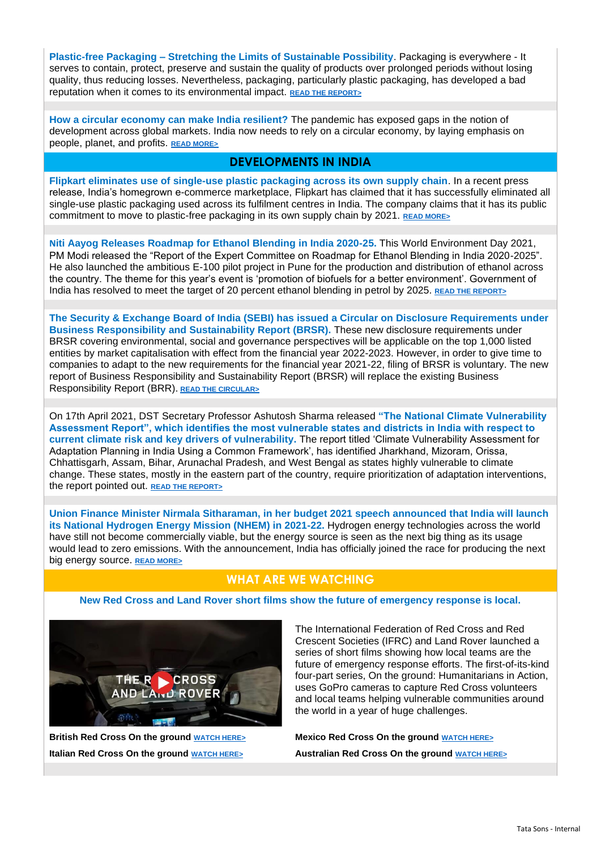**Plastic-free Packaging – Stretching the Limits of Sustainable Possibility**. Packaging is everywhere - It serves to contain, protect, preserve and sustain the quality of products over prolonged periods without losing quality, thus reducing losses. Nevertheless, packaging, particularly plastic packaging, has developed a bad reputation when it comes to its environmental impact. **READ [THE REPORT>](https://3gry456jeet9ifa41gtbwy7a-wpengine.netdna-ssl.com/wp-content/uploads/2021/06/Plastic-Free-Packaging.pdf)**

**How a circular economy can make India resilient?** The pandemic has exposed gaps in the notion of development across global markets. India now needs to rely on a circular economy, by laying emphasis on people, planet, and profits. **[READ MORE>](https://www.fortuneindia.com/opinion/how-a-circular-economy-can-make-india-resilient/105446)**

#### **DEVELOPMENTS IN INDIA**

**Flipkart eliminates use of single-use plastic packaging across its own supply chain**. In a recent press release, India's homegrown e-commerce marketplace, Flipkart has claimed that it has successfully eliminated all single-use plastic packaging used across its fulfilment centres in India. The company claims that it has its public commitment to move to plastic-free packaging in its own supply chain by 2021. **[READ MORE>](https://www.prakati.in/flipkart-eliminates-use-of-single-use-plastic-packaging-across-its-own-supply-chain/)**

**Niti Aayog Releases Roadmap for Ethanol Blending in India 2020-25.** This World Environment Day 2021, PM Modi released the "Report of the Expert Committee on Roadmap for Ethanol Blending in India 2020-2025". He also launched the ambitious E-100 pilot project in Pune for the production and distribution of ethanol across the country. The theme for this year's event is 'promotion of biofuels for a better environment'. Government of India has resolved to meet the target of 20 percent ethanol blending in petrol by 2025. [READ THE REPORT>](http://niti.gov.in/sites/default/files/2021-06/EthanolBlendingInIndia_compressed.pdf)

**The Security & Exchange Board of India (SEBI) has issued a Circular on Disclosure Requirements under Business Responsibility and Sustainability Report (BRSR).** These new disclosure requirements under BRSR covering environmental, social and governance perspectives will be applicable on the top 1,000 listed entities by market capitalisation with effect from the financial year 2022-2023. However, in order to give time to companies to adapt to the new requirements for the financial year 2021-22, filing of BRSR is voluntary. The new report of Business Responsibility and Sustainability Report (BRSR) will replace the existing Business Responsibility Report (BRR). **[READ THE CIRCULAR>](https://www.sebi.gov.in/media/press-releases/may-2021/sebi-issues-circular-on-business-responsibility-and-sustainability-reporting-by-listed-entities-_50097.html)**

On 17th April 2021, DST Secretary Professor Ashutosh Sharma released **"The National Climate Vulnerability Assessment Report", which identifies the most vulnerable states and districts in India with respect to current climate risk and key drivers of vulnerability.** The report titled 'Climate Vulnerability Assessment for Adaptation Planning in India Using a Common Framework', has identified Jharkhand, Mizoram, Orissa, Chhattisgarh, Assam, Bihar, Arunachal Pradesh, and West Bengal as states highly vulnerable to climate change. These states, mostly in the eastern part of the country, require prioritization of adaptation interventions, the report pointed out. **[READ THE REPORT>](https://dst.gov.in/sites/default/files/Full%20Report%20%281%29.pdf)**

**Union Finance Minister Nirmala Sitharaman, in her budget 2021 speech announced that India will launch its National Hydrogen Energy Mission (NHEM) in 2021-22.** Hydrogen energy technologies across the world have still not become commercially viable, but the energy source is seen as the next big thing as its usage would lead to zero emissions. With the announcement, India has officially joined the race for producing the next big energy source. **[READ MORE>](https://www.downtoearth.org.in/news/energy/union-budget-2021-22-india-to-launch-hydrogen-energy-mission-75314)**

## **WHAT ARE WE WATCHING**

**New Red Cross and Land Rover short films show the future of emergency response is local.**



The International Federation of Red Cross and Red Crescent Societies (IFRC) and Land Rover launched a series of short films showing how local teams are the future of emergency response efforts. The first-of-its-kind four-part series, On the ground: Humanitarians in Action, uses GoPro cameras to capture Red Cross volunteers and local teams helping vulnerable communities around the world in a year of huge challenges.

**British Red Cross On the ground [WATCH HERE>](https://www.youtube.com/watch?v=mQWoemFSkxU) Mexico Red Cross On the ground [WATCH HERE>](https://www.youtube.com/watch?v=GFquCwLHk3g) Italian Red Cross On the ground [WATCH HERE>](https://www.youtube.com/watch?v=t3JvG2LUG-A) Australian Red Cross On the ground [WATCH HERE>](https://www.youtube.com/watch?v=uW-LxohmGLU)**